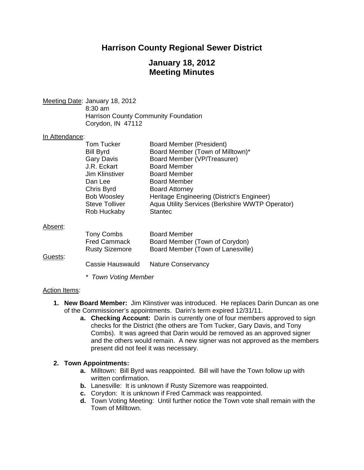# **Harrison County Regional Sewer District**

# **January 18, 2012 Meeting Minutes**

Meeting Date: January 18, 2012 8:30 am Harrison County Community Foundation Corydon, IN 47112

#### In Attendance:

|         | Tom Tucker<br><b>Bill Byrd</b> | Board Member (President)<br>Board Member (Town of Milltown)* |
|---------|--------------------------------|--------------------------------------------------------------|
|         | <b>Gary Davis</b>              | Board Member (VP/Treasurer)                                  |
|         | J.R. Eckart                    | <b>Board Member</b>                                          |
|         | Jim Klinstiver                 | <b>Board Member</b>                                          |
|         | Dan Lee                        | <b>Board Member</b>                                          |
|         | Chris Byrd                     | <b>Board Attorney</b>                                        |
|         | <b>Bob Woosley</b>             | Heritage Engineering (District's Engineer)                   |
|         | <b>Steve Tolliver</b>          | Aqua Utility Services (Berkshire WWTP Operator)              |
|         | Rob Huckaby                    | <b>Stantec</b>                                               |
| Absent: |                                |                                                              |
|         | Tony Combs                     | <b>Board Member</b>                                          |

|         | Tony Combs            | <b>Board Member</b>               |
|---------|-----------------------|-----------------------------------|
|         | <b>Fred Cammack</b>   | Board Member (Town of Corydon)    |
| Guests: | <b>Rusty Sizemore</b> | Board Member (Town of Lanesville) |
|         | Cassie Hauswauld      | <b>Nature Conservancy</b>         |

*\* Town Voting Member* 

#### Action Items:

- **1. New Board Member:** Jim Klinstiver was introduced. He replaces Darin Duncan as one of the Commissioner's appointments. Darin's term expired 12/31/11.
	- **a. Checking Account:** Darin is currently one of four members approved to sign checks for the District (the others are Tom Tucker, Gary Davis, and Tony Combs). It was agreed that Darin would be removed as an approved signer and the others would remain. A new signer was not approved as the members present did not feel it was necessary.

#### **2. Town Appointments:**

- **a.** Milltown: Bill Byrd was reappointed. Bill will have the Town follow up with written confirmation.
- **b.** Lanesville: It is unknown if Rusty Sizemore was reappointed.
- **c.** Corydon: It is unknown if Fred Cammack was reappointed.
- **d.** Town Voting Meeting: Until further notice the Town vote shall remain with the Town of Milltown.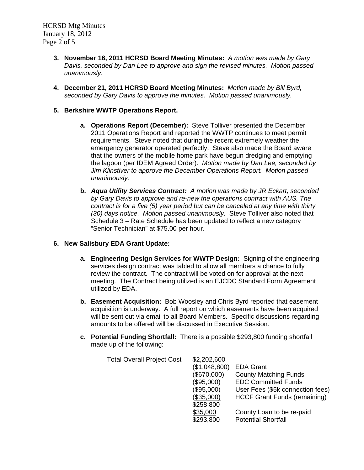HCRSD Mtg Minutes January 18, 2012 Page 2 of 5

- **3. November 16, 2011 HCRSD Board Meeting Minutes:** *A motion was made by Gary Davis, seconded by Dan Lee to approve and sign the revised minutes. Motion passed unanimously.*
- **4. December 21, 2011 HCRSD Board Meeting Minutes:** *Motion made by Bill Byrd, seconded by Gary Davis to approve the minutes. Motion passed unanimously.*

#### **5. Berkshire WWTP Operations Report.**

- **a. Operations Report (December):** Steve Tolliver presented the December 2011 Operations Report and reported the WWTP continues to meet permit requirements. Steve noted that during the recent extremely weather the emergency generator operated perfectly. Steve also made the Board aware that the owners of the mobile home park have begun dredging and emptying the lagoon (per IDEM Agreed Order). *Motion made by Dan Lee, seconded by Jim Klinstiver to approve the December Operations Report. Motion passed unanimously.*
- **b.** *Aqua Utility Services Contract: A motion was made by JR Eckart, seconded by Gary Davis to approve and re-new the operations contract with AUS. The contract is for a five (5) year period but can be canceled at any time with thirty (30) days notice. Motion passed unanimously.* Steve Tolliver also noted that Schedule 3 – Rate Schedule has been updated to reflect a new category "Senior Technician" at \$75.00 per hour.

### **6. New Salisbury EDA Grant Update:**

- **a. Engineering Design Services for WWTP Design:** Signing of the engineering services design contract was tabled to allow all members a chance to fully review the contract. The contract will be voted on for approval at the next meeting. The Contract being utilized is an EJCDC Standard Form Agreement utilized by EDA.
- **b. Easement Acquisition:** Bob Woosley and Chris Byrd reported that easement acquisition is underway. A full report on which easements have been acquired will be sent out via email to all Board Members. Specific discussions regarding amounts to be offered will be discussed in Executive Session.
- **c. Potential Funding Shortfall:** There is a possible \$293,800 funding shortfall made up of the following:

| \$2,202,600   |                                     |
|---------------|-------------------------------------|
| (\$1,048,800) | <b>EDA Grant</b>                    |
| (\$670,000)   | <b>County Matching Funds</b>        |
| (\$95,000)    | <b>EDC Committed Funds</b>          |
| (\$95,000)    | User Fees (\$5k connection fees)    |
| (\$35,000)    | <b>HCCF Grant Funds (remaining)</b> |
| \$258,800     |                                     |
| \$35,000      | County Loan to be re-paid           |
| \$293,800     | <b>Potential Shortfall</b>          |
|               |                                     |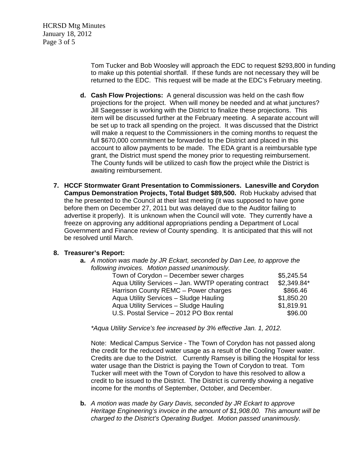Tom Tucker and Bob Woosley will approach the EDC to request \$293,800 in funding to make up this potential shortfall. If these funds are not necessary they will be returned to the EDC. This request will be made at the EDC's February meeting.

- **d. Cash Flow Projections:** A general discussion was held on the cash flow projections for the project. When will money be needed and at what junctures? Jill Saegesser is working with the District to finalize these projections. This item will be discussed further at the February meeting. A separate account will be set up to track all spending on the project. It was discussed that the District will make a request to the Commissioners in the coming months to request the full \$670,000 commitment be forwarded to the District and placed in this account to allow payments to be made. The EDA grant is a reimbursable type grant, the District must spend the money prior to requesting reimbursement. The County funds will be utilized to cash flow the project while the District is awaiting reimbursement.
- **7. HCCF Stormwater Grant Presentation to Commissioners. Lanesville and Corydon Campus Demonstration Projects, Total Budget \$89,500.** Rob Huckaby advised that the he presented to the Council at their last meeting (it was supposed to have gone before them on December 27, 2011 but was delayed due to the Auditor failing to advertise it properly). It is unknown when the Council will vote. They currently have a freeze on approving any additional appropriations pending a Department of Local Government and Finance review of County spending. It is anticipated that this will not be resolved until March.

### **8. Treasurer's Report:**

| <b>a.</b> A motion was made by JR Eckart, seconded by Dan Lee, to approve the |             |  |
|-------------------------------------------------------------------------------|-------------|--|
| following invoices. Motion passed unanimously.                                |             |  |
| Town of Corydon - December sewer charges                                      | \$5,245.54  |  |
| Aqua Utility Services - Jan. WWTP operating contract                          | \$2,349.84* |  |
| Harrison County REMC - Power charges                                          | \$866.46    |  |
| Aqua Utility Services - Sludge Hauling                                        | \$1,850.20  |  |
| Aqua Utility Services - Sludge Hauling                                        | \$1,819.91  |  |
| U.S. Postal Service - 2012 PO Box rental                                      | \$96.00     |  |
|                                                                               |             |  |

*\*Aqua Utility Service's fee increased by 3% effective Jan. 1, 2012.* 

Note: Medical Campus Service - The Town of Corydon has not passed along the credit for the reduced water usage as a result of the Cooling Tower water. Credits are due to the District. Currently Ramsey is billing the Hospital for less water usage than the District is paying the Town of Corydon to treat. Tom Tucker will meet with the Town of Corydon to have this resolved to allow a credit to be issued to the District. The District is currently showing a negative income for the months of September, October, and December.

**b.** *A motion was made by Gary Davis, seconded by JR Eckart to approve Heritage Engineering's invoice in the amount of \$1,908.00. This amount will be charged to the District's Operating Budget. Motion passed unanimously.*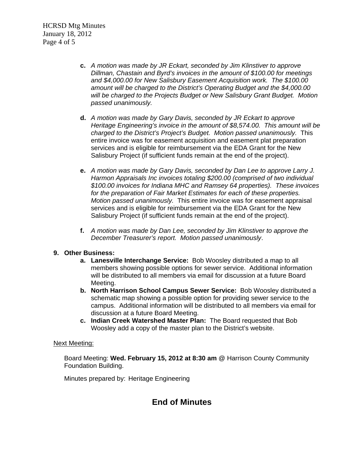HCRSD Mtg Minutes January 18, 2012 Page 4 of 5

- **c.** *A motion was made by JR Eckart, seconded by Jim Klinstiver to approve Dillman, Chastain and Byrd's invoices in the amount of \$100.00 for meetings and \$4,000.00 for New Salisbury Easement Acquisition work. The \$100.00 amount will be charged to the District's Operating Budget and the \$4,000.00 will be charged to the Projects Budget or New Salisbury Grant Budget. Motion passed unanimously.*
- **d.** *A motion was made by Gary Davis, seconded by JR Eckart to approve Heritage Engineering's invoice in the amount of \$8,574.00. This amount will be charged to the District's Project's Budget. Motion passed unanimously.* This entire invoice was for easement acquisition and easement plat preparation services and is eligible for reimbursement via the EDA Grant for the New Salisbury Project (if sufficient funds remain at the end of the project).
- **e.** *A motion was made by Gary Davis, seconded by Dan Lee to approve Larry J. Harmon Appraisals Inc invoices totaling \$200.00 (comprised of two individual \$100.00 invoices for Indiana MHC and Ramsey 64 properties). These invoices for the preparation of Fair Market Estimates for each of these properties. Motion passed unanimously.* This entire invoice was for easement appraisal services and is eligible for reimbursement via the EDA Grant for the New Salisbury Project (if sufficient funds remain at the end of the project).
- **f.** *A motion was made by Dan Lee, seconded by Jim Klinstiver to approve the December Treasurer's report. Motion passed unanimously*.

### **9. Other Business:**

- **a. Lanesville Interchange Service:** Bob Woosley distributed a map to all members showing possible options for sewer service. Additional information will be distributed to all members via email for discussion at a future Board Meeting.
- **b. North Harrison School Campus Sewer Service:** Bob Woosley distributed a schematic map showing a possible option for providing sewer service to the campus. Additional information will be distributed to all members via email for discussion at a future Board Meeting.
- **c. Indian Creek Watershed Master Plan:** The Board requested that Bob Woosley add a copy of the master plan to the District's website.

#### Next Meeting:

Board Meeting: **Wed. February 15, 2012 at 8:30 am** @ Harrison County Community Foundation Building.

Minutes prepared by: Heritage Engineering

# **End of Minutes**